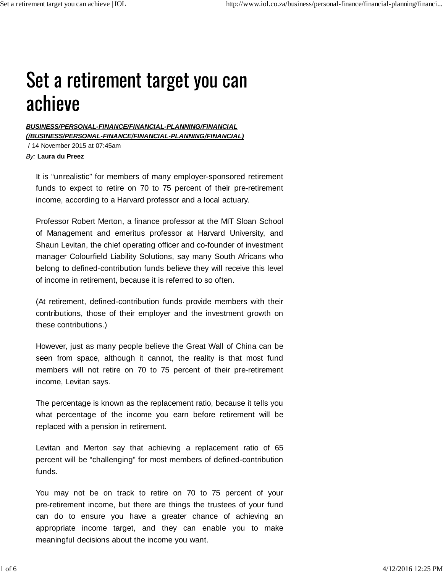## Set a retirement target you can achieve

*BUSINESS/PERSONAL-FINANCE/FINANCIAL-PLANNING/FINANCIAL (/BUSINESS/PERSONAL-FINANCE/FINANCIAL-PLANNING/FINANCIAL)*

 / 14 November 2015 at 07:45am *By:* **Laura du Preez**

It is "unrealistic" for members of many employer-sponsored retirement funds to expect to retire on 70 to 75 percent of their pre-retirement income, according to a Harvard professor and a local actuary.

Professor Robert Merton, a finance professor at the MIT Sloan School of Management and emeritus professor at Harvard University, and Shaun Levitan, the chief operating officer and co-founder of investment manager Colourfield Liability Solutions, say many South Africans who belong to defined-contribution funds believe they will receive this level of income in retirement, because it is referred to so often.

(At retirement, defined-contribution funds provide members with their contributions, those of their employer and the investment growth on these contributions.)

However, just as many people believe the Great Wall of China can be seen from space, although it cannot, the reality is that most fund members will not retire on 70 to 75 percent of their pre-retirement income, Levitan says.

The percentage is known as the replacement ratio, because it tells you what percentage of the income you earn before retirement will be replaced with a pension in retirement.

Levitan and Merton say that achieving a replacement ratio of 65 percent will be "challenging" for most members of defined-contribution funds.

You may not be on track to retire on 70 to 75 percent of your pre-retirement income, but there are things the trustees of your fund can do to ensure you have a greater chance of achieving an appropriate income target, and they can enable you to make meaningful decisions about the income you want.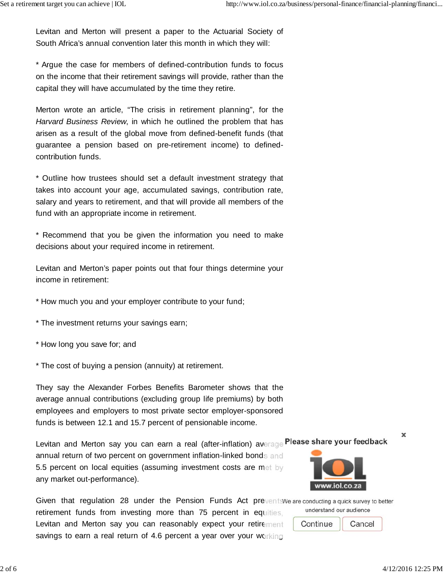Levitan and Merton will present a paper to the Actuarial Society of South Africa's annual convention later this month in which they will:

\* Argue the case for members of defined-contribution funds to focus on the income that their retirement savings will provide, rather than the capital they will have accumulated by the time they retire.

Merton wrote an article, "The crisis in retirement planning", for the *Harvard Business Review*, in which he outlined the problem that has arisen as a result of the global move from defined-benefit funds (that guarantee a pension based on pre-retirement income) to definedcontribution funds.

\* Outline how trustees should set a default investment strategy that takes into account your age, accumulated savings, contribution rate, salary and years to retirement, and that will provide all members of the fund with an appropriate income in retirement.

\* Recommend that you be given the information you need to make decisions about your required income in retirement.

Levitan and Merton's paper points out that four things determine your income in retirement:

\* How much you and your employer contribute to your fund;

\* The investment returns your savings earn;

\* How long you save for; and

\* The cost of buying a pension (annuity) at retirement.

They say the Alexander Forbes Benefits Barometer shows that the average annual contributions (excluding group life premiums) by both employees and employers to most private sector employer-sponsored funds is between 12.1 and 15.7 percent of pensionable income.

Levitan and Merton say you can earn a real (after-inflation) average Please share your feedback

annual return of two percent on government inflation-linked bonds and 5.5 percent on local equities (assuming investment costs are met by any market out-performance).

Given that regulation 28 under the Pension Funds Act prevents We are conducting a quick survey to better retirement funds from investing more than 75 percent in equities, Levitan and Merton say you can reasonably expect your retirement savings to earn a real return of 4.6 percent a year over your working

www.iol.co.za

understand our audience

Continue Cancel

×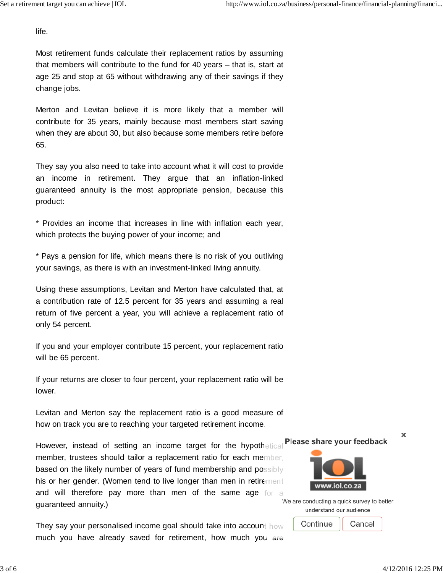life.

Most retirement funds calculate their replacement ratios by assuming that members will contribute to the fund for 40 years – that is, start at age 25 and stop at 65 without withdrawing any of their savings if they change jobs.

Merton and Levitan believe it is more likely that a member will contribute for 35 years, mainly because most members start saving when they are about 30, but also because some members retire before 65.

They say you also need to take into account what it will cost to provide an income in retirement. They argue that an inflation-linked guaranteed annuity is the most appropriate pension, because this product:

\* Provides an income that increases in line with inflation each year, which protects the buying power of your income; and

\* Pays a pension for life, which means there is no risk of you outliving your savings, as there is with an investment-linked living annuity.

Using these assumptions, Levitan and Merton have calculated that, at a contribution rate of 12.5 percent for 35 years and assuming a real return of five percent a year, you will achieve a replacement ratio of only 54 percent.

If you and your employer contribute 15 percent, your replacement ratio will be 65 percent.

If your returns are closer to four percent, your replacement ratio will be lower.

Levitan and Merton say the replacement ratio is a good measure of how on track you are to reaching your targeted retirement income.

Please share your feedback However, instead of setting an income target for the hypothetical member, trustees should tailor a replacement ratio for each member, based on the likely number of years of fund membership and possibly his or her gender. (Women tend to live longer than men in retirement and will therefore pay more than men of the same age for a guaranteed annuity.)

They say your personalised income goal should take into account how much you have already saved for retirement, how much you are

×



We are conducting a quick survey to better understand our audience

> Continue Cancel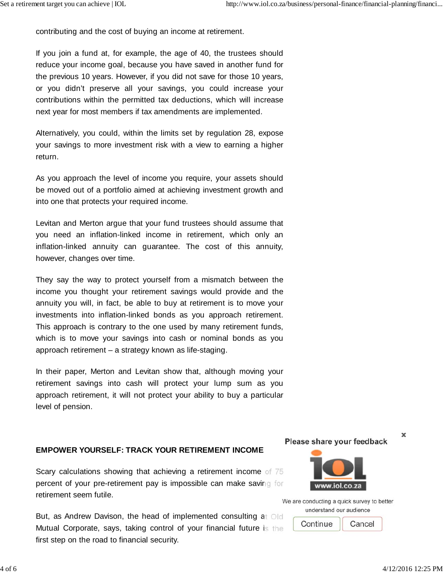contributing and the cost of buying an income at retirement.

If you join a fund at, for example, the age of 40, the trustees should reduce your income goal, because you have saved in another fund for the previous 10 years. However, if you did not save for those 10 years, or you didn't preserve all your savings, you could increase your contributions within the permitted tax deductions, which will increase next year for most members if tax amendments are implemented.

Alternatively, you could, within the limits set by regulation 28, expose your savings to more investment risk with a view to earning a higher return.

As you approach the level of income you require, your assets should be moved out of a portfolio aimed at achieving investment growth and into one that protects your required income.

Levitan and Merton argue that your fund trustees should assume that you need an inflation-linked income in retirement, which only an inflation-linked annuity can guarantee. The cost of this annuity, however, changes over time.

They say the way to protect yourself from a mismatch between the income you thought your retirement savings would provide and the annuity you will, in fact, be able to buy at retirement is to move your investments into inflation-linked bonds as you approach retirement. This approach is contrary to the one used by many retirement funds, which is to move your savings into cash or nominal bonds as you approach retirement – a strategy known as life-staging.

In their paper, Merton and Levitan show that, although moving your retirement savings into cash will protect your lump sum as you approach retirement, it will not protect your ability to buy a particular level of pension.

## **EMPOWER YOURSELF: TRACK YOUR RETIREMENT INCOME**

Scary calculations showing that achieving a retirement income of 75 percent of your pre-retirement pay is impossible can make saving for retirement seem futile.

But, as Andrew Davison, the head of implemented consulting at Old Mutual Corporate, says, taking control of your financial future is the first step on the road to financial security.

Please share your feedback



We are conducting a quick survey to better understand our audience

> Continue Cancel

×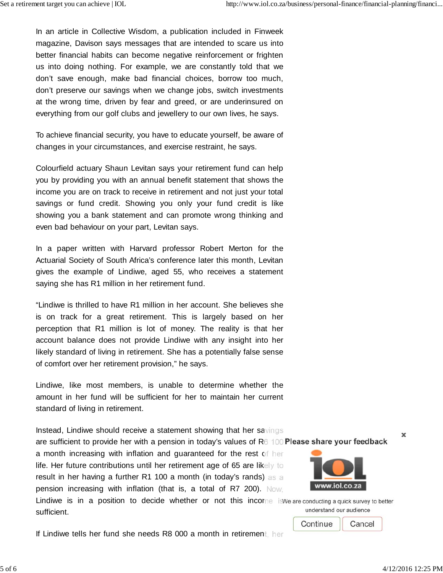In an article in Collective Wisdom, a publication included in Finweek magazine, Davison says messages that are intended to scare us into better financial habits can become negative reinforcement or frighten us into doing nothing. For example, we are constantly told that we don't save enough, make bad financial choices, borrow too much, don't preserve our savings when we change jobs, switch investments at the wrong time, driven by fear and greed, or are underinsured on everything from our golf clubs and jewellery to our own lives, he says.

To achieve financial security, you have to educate yourself, be aware of changes in your circumstances, and exercise restraint, he says.

Colourfield actuary Shaun Levitan says your retirement fund can help you by providing you with an annual benefit statement that shows the income you are on track to receive in retirement and not just your total savings or fund credit. Showing you only your fund credit is like showing you a bank statement and can promote wrong thinking and even bad behaviour on your part, Levitan says.

In a paper written with Harvard professor Robert Merton for the Actuarial Society of South Africa's conference later this month, Levitan gives the example of Lindiwe, aged 55, who receives a statement saying she has R1 million in her retirement fund.

"Lindiwe is thrilled to have R1 million in her account. She believes she is on track for a great retirement. This is largely based on her perception that R1 million is lot of money. The reality is that her account balance does not provide Lindiwe with any insight into her likely standard of living in retirement. She has a potentially false sense of comfort over her retirement provision," he says.

Lindiwe, like most members, is unable to determine whether the amount in her fund will be sufficient for her to maintain her current standard of living in retirement.

Instead, Lindiwe should receive a statement showing that her savings are sufficient to provide her with a pension in today's values of  $R6 100$  Please share your feedback

a month increasing with inflation and guaranteed for the rest of her life. Her future contributions until her retirement age of 65 are likely to result in her having a further R1 100 a month (in today's rands) as a pension increasing with inflation (that is, a total of R7 200). Now,

Lindiwe is in a position to decide whether or not this income is We are conducting a quick survey to better understand our audience sufficient.

If Lindiwe tells her fund she needs R8 000 a month in retirement, her

Continue Cancel

×